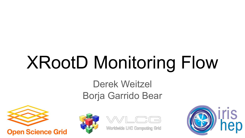# XRootD Monitoring Flow

# Derek Weitzel Borja Garrido Bear



**Open Science Grid** 





**LHC Computing Grid** 

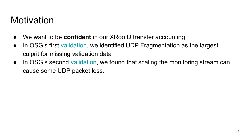### **Motivation**

- We want to be **confident** in our XRootD transfer accounting
- In OSG's first [validation](https://doi.org/10.5281/zenodo.3981359), we identified UDP Fragmentation as the largest culprit for missing validation data
- In OSG's second [validation](https://doi.org/10.5281/zenodo.4688624), we found that scaling the monitoring stream can cause some UDP packet loss.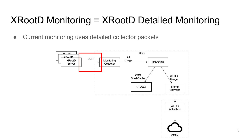# XRootD Monitoring = XRootD Detailed Monitoring

● Current monitoring uses detailed collector packets

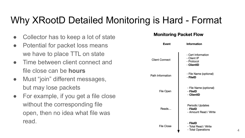# Why XRootD Detailed Monitoring is Hard - Format

- Collector has to keep a lot of state
- Potential for packet loss means we have to place TTL on state
- Time between client connect and file close can be **hours**
- Must "join" different messages, but may lose packets
- For example, if you get a file close without the corresponding file open, then no idea what file was read.

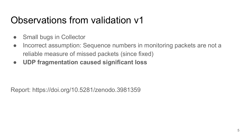### Observations from validation v1

- Small bugs in Collector
- Incorrect assumption: Sequence numbers in monitoring packets are not a reliable measure of missed packets (since fixed)
- **● UDP fragmentation caused significant loss**

Report: https://doi.org/10.5281/zenodo.3981359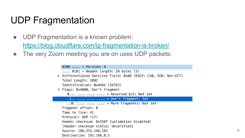### UDP Fragmentation

- UDP Fragmentation is a known problem: <https://blog.cloudflare.com/ip-fragmentation-is-broken/>
- The very Zoom meeting you are on uses UDP packets:

```
0100... = Version: 4
  \ldots 0101 = Header Length: 20 bytes (5)
Differentiated Services Field: 0x00 (DSCP: CS0, ECN: Not-ECT)
  Total Length: 1092
  Identification: 0xddbb (56763)
▼ Flags: 0x4000, Don't fragment
     \emptyset... .... .... .... = Reserved bit: Not set
     \ldots .... \ldots .... = Don't fragment: Set
     \ldots0. .... .... .... = More fragments: Not set
  Fragment offset: 0
  Time to live: 41
  Protocol: UDP (17)
  Header checksum: 0x558f [validation disabled]
  [Header checksum status: Unverified]
  Source: 198.251.146.181
  Destination: 192.168.0.5
```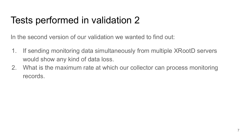## Tests performed in validation 2

In the second version of our validation we wanted to find out:

- 1. If sending monitoring data simultaneously from multiple XRootD servers would show any kind of data loss.
- 2. What is the maximum rate at which our collector can process monitoring records.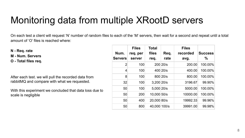### Monitoring data from multiple XRootD servers

On each test a client will request 'N' number of random files to each of the 'M' servers, then wait for a second and repeat until a total amount of 'O' files is reached where:

**N - Req. rate**

**M - Num. Servers**

**O - Total files req.**

After each test. we will pull the recorded data from rabbitMQ and compare with what we requested.

With this experiment we concluded that data loss due to scale is negligible

| Num.<br><b>Servers</b> | <b>Files</b><br>req. per<br>server | <b>Total</b><br>files<br>req. | Req.<br>rate | <b>Files</b><br>recorded<br>avg. | <b>Success</b><br>% |
|------------------------|------------------------------------|-------------------------------|--------------|----------------------------------|---------------------|
|                        |                                    |                               |              |                                  |                     |
| 2                      | 100                                |                               | 200 20/s     | 200.00                           | 100.00%             |
| 4                      | 100                                |                               | 400 20/s     | 400.00                           | 100.00%             |
| 8                      | 100                                |                               | 800 20/s     | 800.00                           | 100.00%             |
| 32                     | 100                                | 3,200 20/s                    |              | 3196.67                          | 99.90%              |
| 50                     | 100                                | 5,000 20/s                    |              | 5000.00                          | 100.00%             |
| 50                     | 200                                | 10,000 50/s                   |              | 10000.00                         | 100.00%             |
| 50                     | 400                                | 20,000 80/s                   |              | 19992.33                         | 99.96%              |
| 50                     | 800                                | 40,000 100/s                  |              | 39991.00                         | 99.98%              |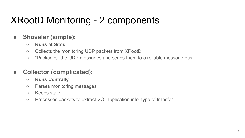# XRootD Monitoring - 2 components

#### **● Shoveler (simple):**

- **○ Runs at Sites**
- Collects the monitoring UDP packets from XRootD
- "Packages" the UDP messages and sends them to a reliable message bus

#### **● Collector (complicated):**

- **○ Runs Centrally**
- Parses monitoring messages
- Keeps state
- Processes packets to extract VO, application info, type of transfer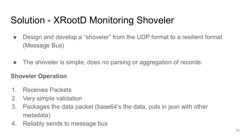# Solution - XRootD Monitoring Shoveler

- Design and develop a "shoveler" from the UDP format to a resilient format (Message Bus)
- The shoveler is simple, does no parsing or aggregation of records:

#### **Shoveler Operation**

- 1. Receives Packets
- 2. Very simple validation
- 3. Packages the data packet (base64's the data, puts in json with other metadata)
- 4. Reliably sends to message bus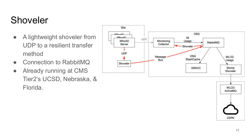# Shoveler

- A lightweight shoveler from UDP to a resilient transfer method
- Connection to RabbitMQ
- Already running at CMS Tier2's UCSD, Nebraska, & Florida.

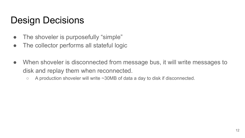### Design Decisions

- The shoveler is purposefully "simple"
- The collector performs all stateful logic
- When shoveler is disconnected from message bus, it will write messages to disk and replay them when reconnected.
	- A production shoveler will write ~30MB of data a day to disk if disconnected.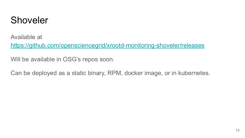### Shoveler

Available at

<https://github.com/opensciencegrid/xrootd-monitoring-shoveler/releases>

Will be available in OSG's repos soon.

Can be deployed as a static binary, RPM, docker image, or in kubernetes.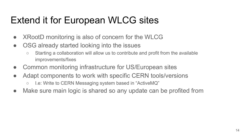# Extend it for European WLCG sites

- XRootD monitoring is also of concern for the WLCG
- OSG already started looking into the issues
	- Starting a collaboration will allow us to contribute and profit from the available improvements/fixes
- Common monitoring infrastructure for US/European sites
- Adapt components to work with specific CERN tools/versions
	- I.e: Write to CERN Messaging system based in "ActiveMQ"
- Make sure main logic is shared so any update can be profited from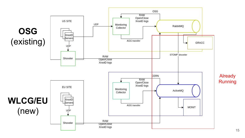

Already **Running**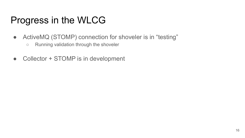### Progress in the WLCG

- ActiveMQ (STOMP) connection for shoveler is in "testing"
	- Running validation through the shoveler
- Collector + STOMP is in development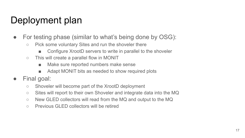# Deployment plan

- For testing phase (similar to what's being done by OSG):
	- Pick some voluntary Sites and run the shoveler there
		- Configure XrootD servers to write in parallel to the shoveler
	- This will create a parallel flow in MONIT
		- Make sure reported numbers make sense
		- Adapt MONIT bits as needed to show required plots
- Final goal:
	- Shoveler will become part of the XrootD deployment
	- Sites will report to their own Shoveler and integrate data into the MQ
	- New GLED collectors will read from the MQ and output to the MQ
	- Previous GLED collectors will be retired